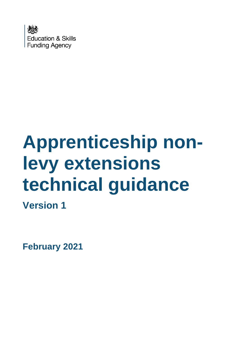

# **Apprenticeship nonlevy extensions technical guidance**

**Version 1**

**February 2021**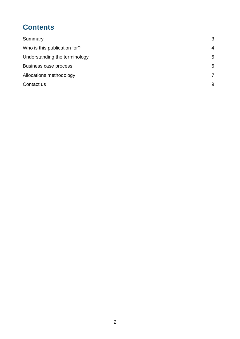# **Contents**

| Summary                       | 3              |
|-------------------------------|----------------|
| Who is this publication for?  | $\overline{4}$ |
| Understanding the terminology | 5              |
| Business case process         | 6              |
| Allocations methodology       | $\overline{7}$ |
| Contact us                    | 9              |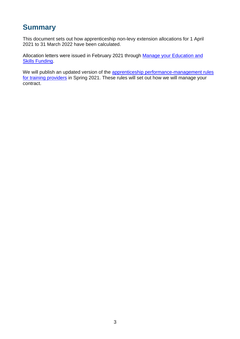#### <span id="page-2-0"></span>**Summary**

This document sets out how apprenticeship non-levy extension allocations for 1 April 2021 to 31 March 2022 have been calculated.

Allocation letters were issued in February 2021 through Manage your Education and [Skills Funding.](https://skillsfunding.service.gov.uk/)

We will publish an updated version of the apprenticeship performance-management rules [for training providers](https://www.gov.uk/government/publications/apprenticeship-funding-rules-2018-to-2019) in Spring 2021. These rules will set out how we will manage your contract.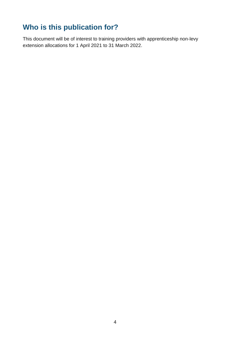## <span id="page-3-0"></span>**Who is this publication for?**

This document will be of interest to training providers with apprenticeship non-levy extension allocations for 1 April 2021 to 31 March 2022.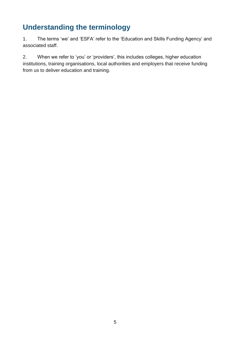## <span id="page-4-0"></span>**Understanding the terminology**

1. The terms 'we' and 'ESFA' refer to the 'Education and Skills Funding Agency' and associated staff.

2. When we refer to 'you' or 'providers', this includes colleges, higher education institutions, training organisations, local authorities and employers that receive funding from us to deliver education and training.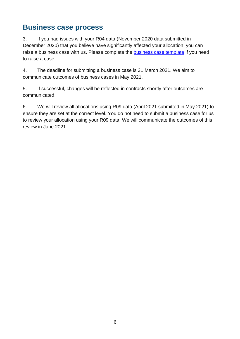#### <span id="page-5-0"></span>**Business case process**

3. If you had issues with your R04 data (November 2020 data submitted in December 2020) that you believe have significantly affected your allocation, you can raise a business case with us. Please complete the [business case template](https://www.gov.uk/government/publications/19-funding-allocations-guidance-2021-to-2022) if you need to raise a case.

4. The deadline for submitting a business case is 31 March 2021. We aim to communicate outcomes of business cases in May 2021.

5. If successful, changes will be reflected in contracts shortly after outcomes are communicated.

6. We will review all allocations using R09 data (April 2021 submitted in May 2021) to ensure they are set at the correct level. You do not need to submit a business case for us to review your allocation using your R09 data. We will communicate the outcomes of this review in June 2021.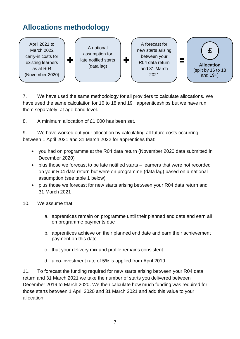## <span id="page-6-0"></span>**Allocations methodology**



7. We have used the same methodology for all providers to calculate allocations. We have used the same calculation for 16 to 18 and 19+ apprenticeships but we have run them separately, at age band level.

8. A minimum allocation of £1,000 has been set.

9. We have worked out your allocation by calculating all future costs occurring between 1 April 2021 and 31 March 2022 for apprentices that:

- you had on programme at the R04 data return (November 2020 data submitted in December 2020)
- plus those we forecast to be late notified starts learners that were not recorded on your R04 data return but were on programme (data lag) based on a national assumption (see table 1 below)
- plus those we forecast for new starts arising between your R04 data return and 31 March 2021
- 10. We assume that:
	- a. apprentices remain on programme until their planned end date and earn all on programme payments due
	- b. apprentices achieve on their planned end date and earn their achievement payment on this date
	- c. that your delivery mix and profile remains consistent
	- d. a co-investment rate of 5% is applied from April 2019

11. To forecast the funding required for new starts arising between your R04 data return and 31 March 2021 we take the number of starts you delivered between December 2019 to March 2020. We then calculate how much funding was required for those starts between 1 April 2020 and 31 March 2021 and add this value to your allocation.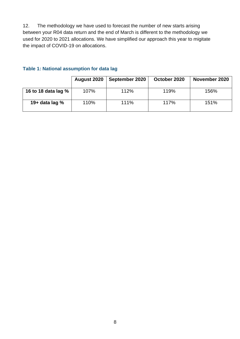12. The methodology we have used to forecast the number of new starts arising between your R04 data return and the end of March is different to the methodology we used for 2020 to 2021 allocations. We have simplified our approach this year to migitate the impact of COVID-19 on allocations.

|                       | August 2020 | September 2020 | October 2020 | November 2020 |
|-----------------------|-------------|----------------|--------------|---------------|
| 16 to 18 data lag $%$ | 107%        | 112%           | 119%         | 156%          |
| 19+ data lag $%$      | 110%        | 111%           | 117%         | 151%          |

#### **Table 1: National assumption for data lag**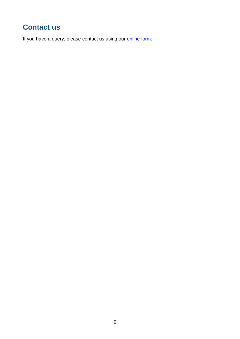### <span id="page-8-0"></span>**Contact us**

If you have a query, please contact us using our **online form**.